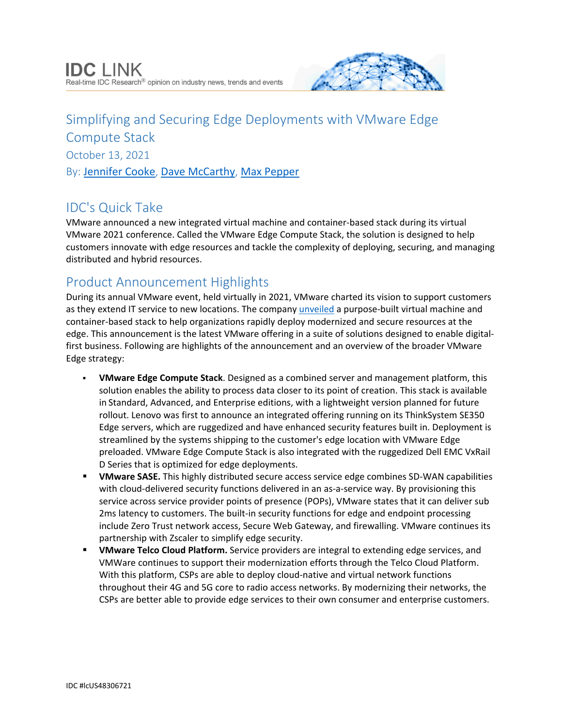

# Simplifying and Securing Edge Deployments with VMware Edge Compute Stack October 13, 2021 By: [Jennifer Cooke](http://www.idc.com/getdoc.jsp?containerId=PRF004620), [Dave McCarthy](http://www.idc.com/getdoc.jsp?containerId=PRF005347), [Max Pepper](http://www.idc.com/getdoc.jsp?containerId=PRF004636)

# IDC's Quick Take

VMware announced a new integrated virtual machine and container-based stack during its virtual VMware 2021 conference. Called the VMware Edge Compute Stack, the solution is designed to help customers innovate with edge resources and tackle the complexity of deploying, securing, and managing distributed and hybrid resources.

## Product Announcement Highlights

During its annual VMware event, held virtually in 2021, VMware charted its vision to support customers as they extend IT service to new locations. The company [unveiled](https://www.businesswire.com/news/home/20211005005492/en/) a purpose-built virtual machine and container-based stack to help organizations rapidly deploy modernized and secure resources at the edge. This announcement is the latest VMware offering in a suite of solutions designed to enable digitalfirst business. Following are highlights of the announcement and an overview of the broader VMware Edge strategy:

- **VMware Edge Compute Stack**. Designed as a combined server and management platform, this solution enables the ability to process data closer to its point of creation. This stack is available in Standard, Advanced, and Enterprise editions, with a lightweight version planned for future rollout. Lenovo was first to announce an integrated offering running on its ThinkSystem SE350 Edge servers, which are ruggedized and have enhanced security features built in. Deployment is streamlined by the systems shipping to the customer's edge location with VMware Edge preloaded. VMware Edge Compute Stack is also integrated with the ruggedized Dell EMC VxRail D Series that is optimized for edge deployments.
- **VMware SASE.** This highly distributed secure access service edge combines SD-WAN capabilities with cloud-delivered security functions delivered in an as-a-service way. By provisioning this service across service provider points of presence (POPs), VMware states that it can deliver sub 2ms latency to customers. The built-in security functions for edge and endpoint processing include Zero Trust network access, Secure Web Gateway, and firewalling. VMware continues its partnership with Zscaler to simplify edge security.
- **VMware Telco Cloud Platform.** Service providers are integral to extending edge services, and VMWare continues to support their modernization efforts through the Telco Cloud Platform. With this platform, CSPs are able to deploy cloud-native and virtual network functions throughout their 4G and 5G core to radio access networks. By modernizing their networks, the CSPs are better able to provide edge services to their own consumer and enterprise customers.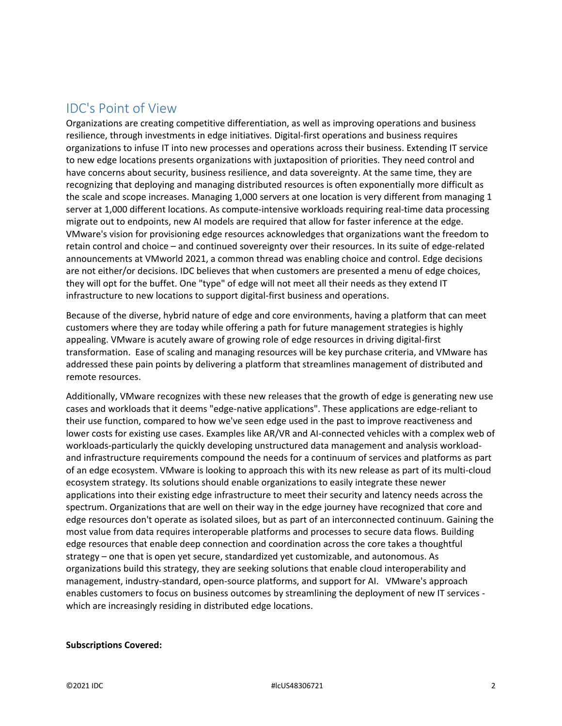### IDC's Point of View

Organizations are creating competitive differentiation, as well as improving operations and business resilience, through investments in edge initiatives. Digital-first operations and business requires organizations to infuse IT into new processes and operations across their business. Extending IT service to new edge locations presents organizations with juxtaposition of priorities. They need control and have concerns about security, business resilience, and data sovereignty. At the same time, they are recognizing that deploying and managing distributed resources is often exponentially more difficult as the scale and scope increases. Managing 1,000 servers at one location is very different from managing 1 server at 1,000 different locations. As compute-intensive workloads requiring real-time data processing migrate out to endpoints, new AI models are required that allow for faster inference at the edge. VMware's vision for provisioning edge resources acknowledges that organizations want the freedom to retain control and choice – and continued sovereignty over their resources. In its suite of edge-related announcements at VMworld 2021, a common thread was enabling choice and control. Edge decisions are not either/or decisions. IDC believes that when customers are presented a menu of edge choices, they will opt for the buffet. One "type" of edge will not meet all their needs as they extend IT infrastructure to new locations to support digital-first business and operations.

Because of the diverse, hybrid nature of edge and core environments, having a platform that can meet customers where they are today while offering a path for future management strategies is highly appealing. VMware is acutely aware of growing role of edge resources in driving digital-first transformation. Ease of scaling and managing resources will be key purchase criteria, and VMware has addressed these pain points by delivering a platform that streamlines management of distributed and remote resources.

Additionally, VMware recognizes with these new releases that the growth of edge is generating new use cases and workloads that it deems "edge-native applications". These applications are edge-reliant to their use function, compared to how we've seen edge used in the past to improve reactiveness and lower costs for existing use cases. Examples like AR/VR and AI-connected vehicles with a complex web of workloads-particularly the quickly developing unstructured data management and analysis workloadand infrastructure requirements compound the needs for a continuum of services and platforms as part of an edge ecosystem. VMware is looking to approach this with its new release as part of its multi-cloud ecosystem strategy. Its solutions should enable organizations to easily integrate these newer applications into their existing edge infrastructure to meet their security and latency needs across the spectrum. Organizations that are well on their way in the edge journey have recognized that core and edge resources don't operate as isolated siloes, but as part of an interconnected continuum. Gaining the most value from data requires interoperable platforms and processes to secure data flows. Building edge resources that enable deep connection and coordination across the core takes a thoughtful strategy – one that is open yet secure, standardized yet customizable, and autonomous. As organizations build this strategy, they are seeking solutions that enable cloud interoperability and management, industry-standard, open-source platforms, and support for AI. VMware's approach enables customers to focus on business outcomes by streamlining the deployment of new IT services which are increasingly residing in distributed edge locations.

#### **Subscriptions Covered:**